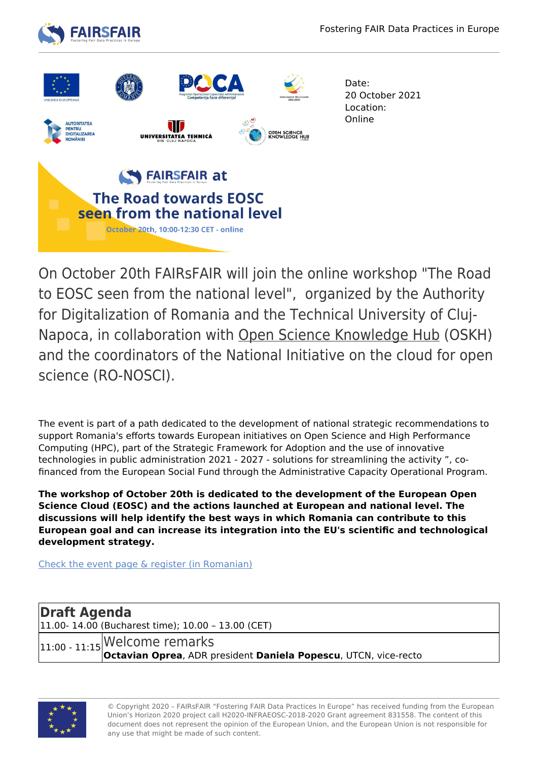



Date: 20 October 2021 Location: Online

On October 20th FAIRsFAIR will join the online workshop "The Road to EOSC seen from the national level", organized by the Authority for Digitalization of Romania and the Technical University of Cluj-Napoca, in collaboration with [Open Science Knowledge Hub](https://uefiscdi.gov.ro/open-science-hub) (OSKH) and the coordinators of the National Initiative on the cloud for open science (RO-NOSCI).

The event is part of a path dedicated to the development of national strategic recommendations to support Romania's efforts towards European initiatives on Open Science and High Performance Computing (HPC), part of the Strategic Framework for Adoption and the use of innovative technologies in public administration 2021 - 2027 - solutions for streamlining the activity ", cofinanced from the European Social Fund through the Administrative Capacity Operational Program.

**The workshop of October 20th is dedicated to the development of the European Open Science Cloud (EOSC) and the actions launched at European and national level. The discussions will help identify the best ways in which Romania can contribute to this European goal and can increase its integration into the EU's scientific and technological development strategy.** 

[Check the event page & register \(in Romanian\)](https://uefiscdi.gov.ro/news-atelier-de-lucru-on-line-the-road-towards-eosc-as-seen-from-the-national-level)

**Draft Agenda** 11.00- 14.00 (Bucharest time); 10.00 – 13.00 (CET)  $_{11:00}$  -  $_{11:15}$  Welcome remarks **Octavian Oprea**, ADR president **Daniela Popescu**, UTCN, vice-recto